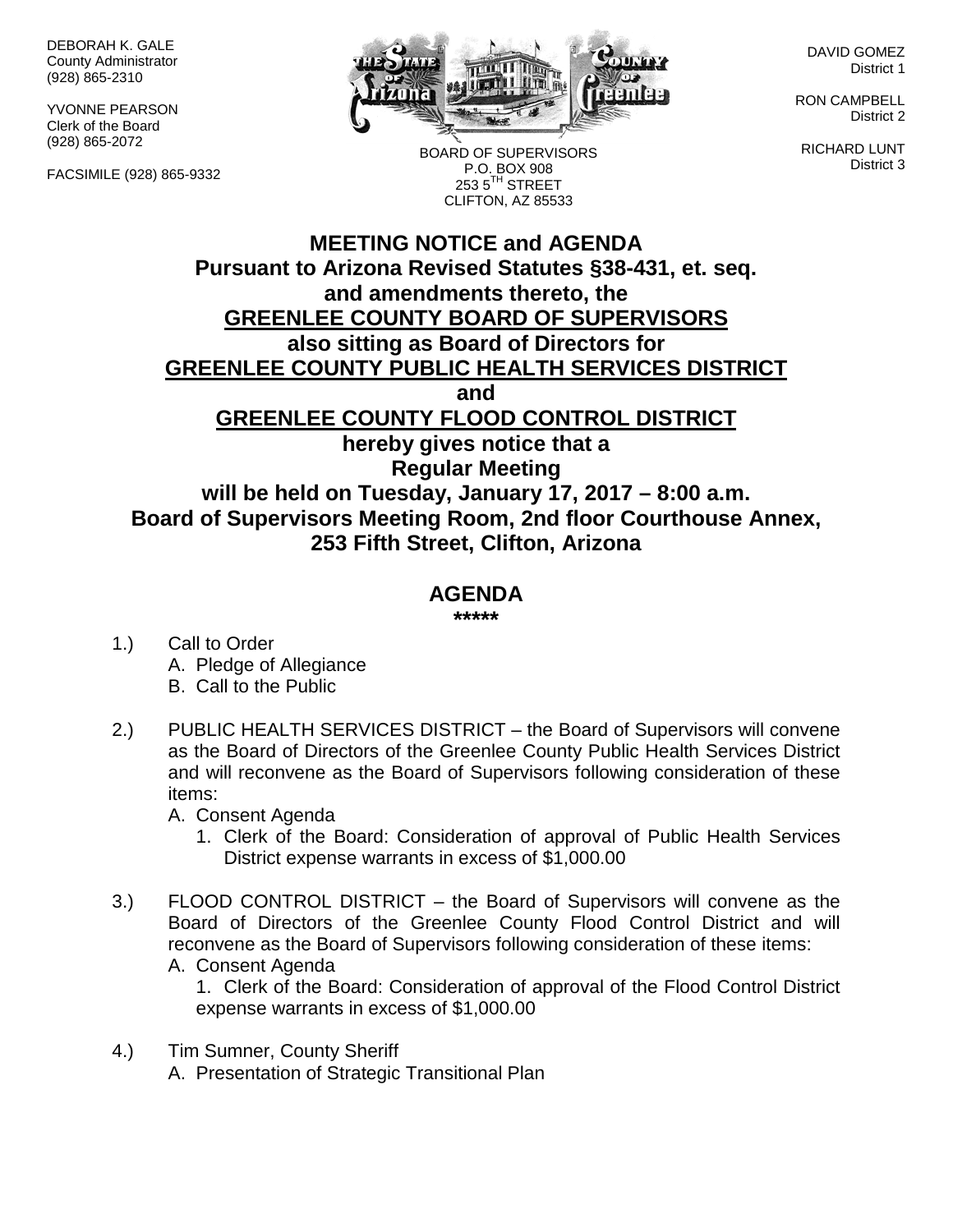DEBORAH K. GALE County Administrator (928) 865-2310

YVONNE PEARSON Clerk of the Board (928) 865-2072

FACSIMILE (928) 865-9332



BOARD OF SUPERVISORS P.O. BOX 908  $2535^{\text{TH}}$  STREET

DAVID GOMEZ District 1

RON CAMPBELL District 2

RICHARD LUNT District 3

## **MEETING NOTICE and AGENDA Pursuant to Arizona Revised Statutes §38-431, et. seq. and amendments thereto, the GREENLEE COUNTY BOARD OF SUPERVISORS also sitting as Board of Directors for GREENLEE COUNTY PUBLIC HEALTH SERVICES DISTRICT and GREENLEE COUNTY FLOOD CONTROL DISTRICT hereby gives notice that a Regular Meeting will be held on Tuesday, January 17, 2017 – 8:00 a.m. Board of Supervisors Meeting Room, 2nd floor Courthouse Annex, 253 Fifth Street, Clifton, Arizona** CLIFTON, AZ 85533

## **AGENDA**

**\*\*\*\*\***

- 1.) Call to Order A. Pledge of Allegiance B. Call to the Public
- 2.) PUBLIC HEALTH SERVICES DISTRICT the Board of Supervisors will convene as the Board of Directors of the Greenlee County Public Health Services District and will reconvene as the Board of Supervisors following consideration of these items:

A. Consent Agenda

- 1. Clerk of the Board: Consideration of approval of Public Health Services District expense warrants in excess of \$1,000.00
- 3.) FLOOD CONTROL DISTRICT the Board of Supervisors will convene as the Board of Directors of the Greenlee County Flood Control District and will reconvene as the Board of Supervisors following consideration of these items: A. Consent Agenda
	- 1. Clerk of the Board: Consideration of approval of the Flood Control District expense warrants in excess of \$1,000.00
- 4.) Tim Sumner, County Sheriff A. Presentation of Strategic Transitional Plan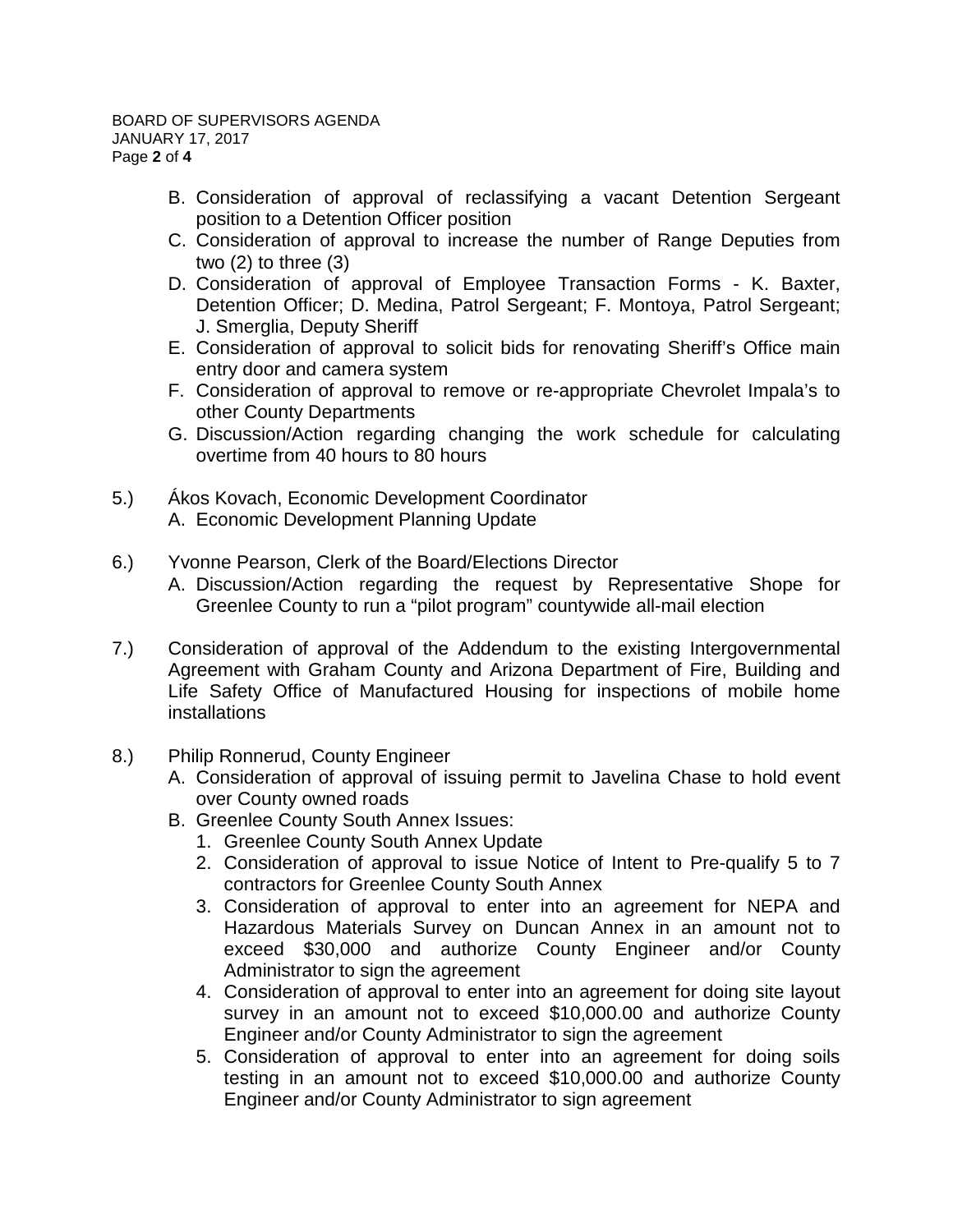- B. Consideration of approval of reclassifying a vacant Detention Sergeant position to a Detention Officer position
- C. Consideration of approval to increase the number of Range Deputies from two (2) to three (3)
- D. Consideration of approval of Employee Transaction Forms K. Baxter, Detention Officer; D. Medina, Patrol Sergeant; F. Montoya, Patrol Sergeant; J. Smerglia, Deputy Sheriff
- E. Consideration of approval to solicit bids for renovating Sheriff's Office main entry door and camera system
- F. Consideration of approval to remove or re-appropriate Chevrolet Impala's to other County Departments
- G. Discussion/Action regarding changing the work schedule for calculating overtime from 40 hours to 80 hours
- 5.) Ákos Kovach, Economic Development Coordinator A. Economic Development Planning Update
- 6.) Yvonne Pearson, Clerk of the Board/Elections Director
	- A. Discussion/Action regarding the request by Representative Shope for Greenlee County to run a "pilot program" countywide all-mail election
- 7.) Consideration of approval of the Addendum to the existing Intergovernmental Agreement with Graham County and Arizona Department of Fire, Building and Life Safety Office of Manufactured Housing for inspections of mobile home installations
- 8.) Philip Ronnerud, County Engineer
	- A. Consideration of approval of issuing permit to Javelina Chase to hold event over County owned roads
	- B. Greenlee County South Annex Issues:
		- 1. Greenlee County South Annex Update
		- 2. Consideration of approval to issue Notice of Intent to Pre-qualify 5 to 7 contractors for Greenlee County South Annex
		- 3. Consideration of approval to enter into an agreement for NEPA and Hazardous Materials Survey on Duncan Annex in an amount not to exceed \$30,000 and authorize County Engineer and/or County Administrator to sign the agreement
		- 4. Consideration of approval to enter into an agreement for doing site layout survey in an amount not to exceed \$10,000.00 and authorize County Engineer and/or County Administrator to sign the agreement
		- 5. Consideration of approval to enter into an agreement for doing soils testing in an amount not to exceed \$10,000.00 and authorize County Engineer and/or County Administrator to sign agreement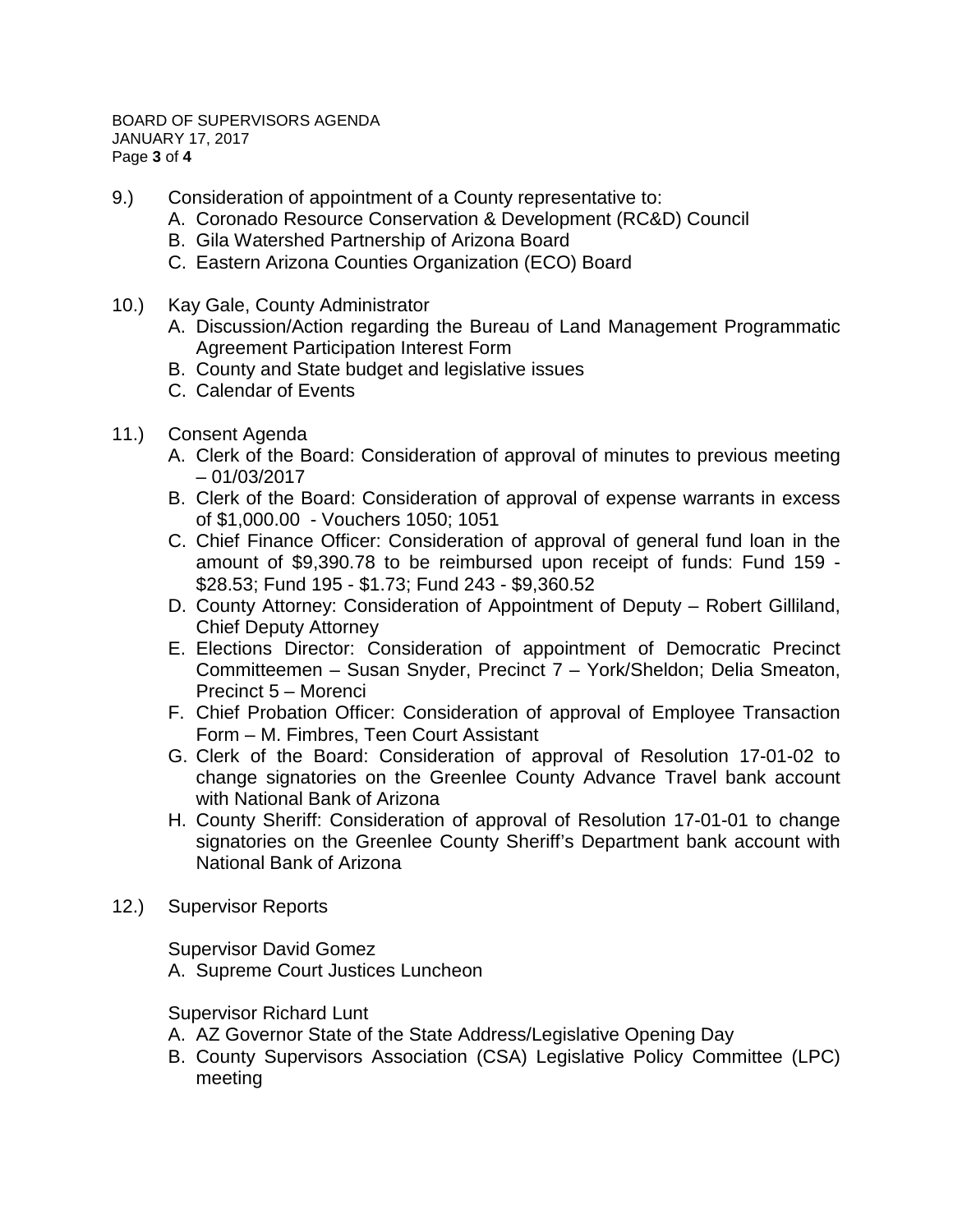BOARD OF SUPERVISORS AGENDA JANUARY 17, 2017 Page **3** of **4**

- 9.) Consideration of appointment of a County representative to:
	- A. Coronado Resource Conservation & Development (RC&D) Council
	- B. Gila Watershed Partnership of Arizona Board
	- C. Eastern Arizona Counties Organization (ECO) Board
- 10.) Kay Gale, County Administrator
	- A. Discussion/Action regarding the Bureau of Land Management Programmatic Agreement Participation Interest Form
	- B. County and State budget and legislative issues
	- C. Calendar of Events
- 11.) Consent Agenda
	- A. Clerk of the Board: Consideration of approval of minutes to previous meeting – 01/03/2017
	- B. Clerk of the Board: Consideration of approval of expense warrants in excess of \$1,000.00 - Vouchers 1050; 1051
	- C. Chief Finance Officer: Consideration of approval of general fund loan in the amount of \$9,390.78 to be reimbursed upon receipt of funds: Fund 159 - \$28.53; Fund 195 - \$1.73; Fund 243 - \$9,360.52
	- D. County Attorney: Consideration of Appointment of Deputy Robert Gilliland, Chief Deputy Attorney
	- E. Elections Director: Consideration of appointment of Democratic Precinct Committeemen – Susan Snyder, Precinct 7 – York/Sheldon; Delia Smeaton, Precinct 5 – Morenci
	- F. Chief Probation Officer: Consideration of approval of Employee Transaction Form – M. Fimbres, Teen Court Assistant
	- G. Clerk of the Board: Consideration of approval of Resolution 17-01-02 to change signatories on the Greenlee County Advance Travel bank account with National Bank of Arizona
	- H. County Sheriff: Consideration of approval of Resolution 17-01-01 to change signatories on the Greenlee County Sheriff's Department bank account with National Bank of Arizona
- 12.) Supervisor Reports

Supervisor David Gomez

A. Supreme Court Justices Luncheon

## Supervisor Richard Lunt

- A. AZ Governor State of the State Address/Legislative Opening Day
- B. County Supervisors Association (CSA) Legislative Policy Committee (LPC) meeting